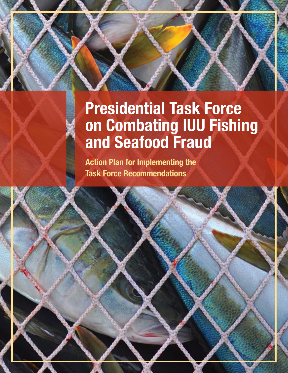# Presidential Task Force on Combating IUU Fishing and Seafood Fraud

Action Plan for Implementing the Task Force Recommendations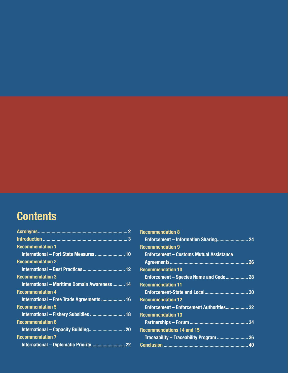## **Contents**

| <b>Recommendation 1</b>                             |
|-----------------------------------------------------|
| International - Port State Measures  10             |
| <b>Recommendation 2</b>                             |
|                                                     |
| <b>Recommendation 3</b>                             |
| <b>International - Maritime Domain Awareness 14</b> |
| <b>Recommendation 4</b>                             |
| International - Free Trade Agreements  16           |
| <b>Recommendation 5</b>                             |
| International - Fishery Subsidies  18               |
| <b>Recommendation 6</b>                             |
|                                                     |
| <b>Recommendation 7</b>                             |
|                                                     |

| <b>Recommendation 8</b>                        |  |
|------------------------------------------------|--|
|                                                |  |
| <b>Recommendation 9</b>                        |  |
| <b>Enforcement - Customs Mutual Assistance</b> |  |
|                                                |  |
| <b>Recommendation 10</b>                       |  |
| Enforcement - Species Name and Code 28         |  |
| <b>Recommendation 11</b>                       |  |
|                                                |  |
| <b>Recommendation 12</b>                       |  |
| Enforcement - Enforcement Authorities 32       |  |
| <b>Recommendation 13</b>                       |  |
|                                                |  |
| <b>Recommendations 14 and 15</b>               |  |
|                                                |  |
|                                                |  |
|                                                |  |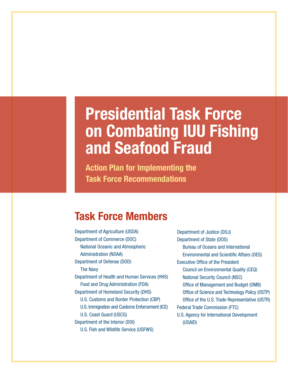# Presidential Task Force on Combating IUU Fishing and Seafood Fraud

Action Plan for Implementing the Task Force Recommendations

### Task Force Members

Department of Agriculture (USDA) Department of Commerce (DOC) National Oceanic and Atmospheric Administration (NOAA) Department of Defense (DOD) The Navy Department of Health and Human Services (HHS) Food and Drug Administration (FDA) Department of Homeland Security (DHS) U.S. Customs and Border Protection (CBP) U.S. Immigration and Customs Enforcement (ICE) U.S. Coast Guard (USCG) Department of the Interior (DOI) U.S. Fish and Wildlife Service (USFWS)

Department of Justice (DOJ) Department of State (DOS) Bureau of Oceans and International Environmental and Scientific Affairs (OES) Executive Office of the President Council on Environmental Quality (CEQ) National Security Council (NSC) Office of Management and Budget (OMB) Office of Science and Technology Policy (OSTP) Office of the U.S. Trade Representative (USTR) Federal Trade Commission (FTC) U.S. Agency for International Development (USAID)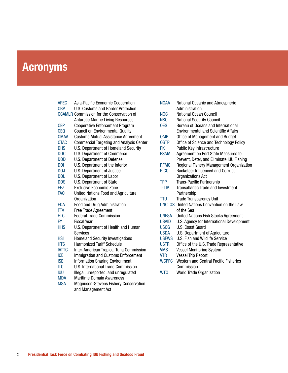## Acronyms

| <b>APEC</b>      | Asia-Pacific Economic Cooperation                |
|------------------|--------------------------------------------------|
| <b>CBP</b>       | <b>U.S. Customs and Border Protection</b>        |
|                  | <b>CCAMLR Commission for the Conservation of</b> |
|                  | <b>Antarctic Marine Living Resources</b>         |
| <b>CEP</b>       | <b>Cooperative Enforcement Program</b>           |
| <b>CEQ</b>       | <b>Council on Environmental Quality</b>          |
| <b>CMAA</b>      | <b>Customs Mutual Assistance Agreement</b>       |
| <b>CTAC</b>      | <b>Commercial Targeting and Analysis Center</b>  |
| <b>DHS</b>       | U.S. Department of Homeland Security             |
| D <sub>O</sub> C | U.S. Department of Commerce                      |
| D <sub>O</sub> D | <b>U.S. Department of Defense</b>                |
| <b>DOI</b>       | U.S. Department of the Interior                  |
| D <sub>0</sub> J | U.S. Department of Justice                       |
| <b>DOL</b>       | <b>U.S. Department of Labor</b>                  |
| D <sub>O</sub> S | U.S. Department of State                         |
| <b>EEZ</b>       | Exclusive Economic Zone                          |
| FA <sub>0</sub>  | United Nations Food and Agriculture              |
|                  | Organization                                     |
| <b>FDA</b>       | Food and Drug Administration                     |
| <b>FTA</b>       | <b>Free Trade Agreement</b>                      |
| <b>FTC</b>       | <b>Federal Trade Commission</b>                  |
| <b>FY</b>        | <b>Fiscal Year</b>                               |
| <b>HHS</b>       | U.S. Department of Health and Human              |
|                  | Services                                         |
| <b>HSI</b>       | <b>Homeland Security Investigations</b>          |
| <b>HTS</b>       | <b>Harmonized Tariff Schedule</b>                |
| <b>IATTC</b>     | Inter-American Tropical Tuna Commission          |
| <b>ICE</b>       | Immigration and Customs Enforcement              |
| <b>ISE</b>       | <b>Information Sharing Environment</b>           |
| <b>ITC</b>       | U.S. International Trade Commission              |
| <b>IUU</b>       | Illegal, unreported, and unregulated             |
| <b>MDA</b>       | <b>Maritime Domain Awareness</b>                 |
| <b>MSA</b>       | Magnuson-Stevens Fishery Conservation            |
|                  | and Management Act                               |

| <b>NOAA</b>     | National Oceanic and Atmospheric<br>Administration                            |
|-----------------|-------------------------------------------------------------------------------|
| <b>NOC</b>      | National Ocean Council                                                        |
| <b>NSC</b>      |                                                                               |
| 0ES             | <b>National Security Council</b><br><b>Bureau of Oceans and International</b> |
|                 | <b>Environmental and Scientific Affairs</b>                                   |
| <b>OMB</b>      | Office of Management and Budget                                               |
| <b>OSTP</b>     | Office of Science and Technology Policy                                       |
| PKI             | Public Key Infrastructure                                                     |
| <b>PSMA</b>     | Agreement on Port State Measures to                                           |
|                 | Prevent, Deter, and Eliminate IUU Fishing                                     |
| <b>RFMO</b>     | Regional Fishery Management Organization                                      |
| <b>RICO</b>     | Racketeer Influenced and Corrupt                                              |
|                 | Organizations Act                                                             |
| <b>TPP</b>      | <b>Trans-Pacific Partnership</b>                                              |
| T-TIP           | Transatlantic Trade and Investment                                            |
|                 | Partnership                                                                   |
| TTU             | <b>Trade Transparency Unit</b>                                                |
|                 | <b>UNCLOS United Nations Convention on the Law</b>                            |
|                 | of the Sea                                                                    |
| UNFSA           | <b>United Nations Fish Stocks Agreement</b>                                   |
| <b>USAID</b>    | U.S. Agency for International Development                                     |
| uscg            | U.S. Coast Guard                                                              |
| <b>USDA</b>     | U.S. Department of Agriculture                                                |
| <b>USFWS</b>    | U.S. Fish and Wildlife Service                                                |
| <b>USTR</b>     | Office of the U.S. Trade Representative                                       |
| <b>VMS</b>      | <b>Vessel Monitoring System</b>                                               |
| <b>VTR</b>      | <b>Vessel Trip Report</b>                                                     |
| <b>WCPFC</b>    | <b>Western and Central Pacific Fisheries</b>                                  |
|                 | Commission                                                                    |
| WT <sub>0</sub> | <b>World Trade Organization</b>                                               |
|                 |                                                                               |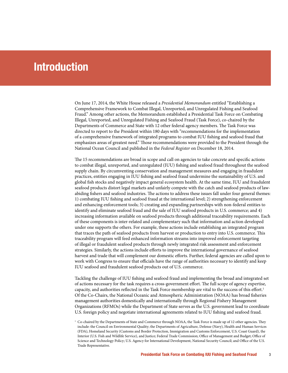### **Introduction**

On June 17, 2014, the White House released a *Presidential Memorandum* entitled "Establishing a Comprehensive Framework to Combat Illegal, Unreported, and Unregulated Fishing and Seafood Fraud." Among other actions, the Memorandum established a Presidential Task Force on Combating Illegal, Unreported, and Unregulated Fishing and Seafood Fraud (Task Force), co-chaired by the Departments of Commerce and State with 12 other federal agency members. The Task Force was directed to report to the President within 180 days with "recommendations for the implementation of a comprehensive framework of integrated programs to combat IUU fishing and seafood fraud that emphasizes areas of greatest need." Those recommendations were provided to the President through the National Ocean Council and published in the *Federal Register* on December 18, 2014.

The 15 recommendations are broad in scope and call on agencies to take concrete and specific actions to combat illegal, unreported, and unregulated (IUU) fishing and seafood fraud throughout the seafood supply chain. By circumventing conservation and management measures and engaging in fraudulent practices, entities engaging in IUU fishing and seafood fraud undermine the sustainability of U.S. and global fish stocks and negatively impact general ecosystem health. At the same time, IUU and fraudulent seafood products distort legal markets and unfairly compete with the catch and seafood products of lawabiding fishers and seafood industries. The actions to address these issues fall under four general themes: 1) combating IUU fishing and seafood fraud at the international level; 2) strengthening enforcement and enhancing enforcement tools; 3) creating and expanding partnerships with non-federal entities to identify and eliminate seafood fraud and the sale of IUU seafood products in U.S. commerce; and 4) increasing information available on seafood products through additional traceability requirements. Each of these components is inter-related and complementary such that information and action developed under one supports the others. For example, these actions include establishing an integrated program that traces the path of seafood products from harvest or production to entry into U.S. commerce. This traceability program will feed enhanced information streams into improved enforcement targeting of illegal or fraudulent seafood products through newly integrated risk assessment and enforcement strategies. Similarly, the actions include efforts to improve the international governance of seafood harvest and trade that will complement our domestic efforts. Further, federal agencies are called upon to work with Congress to ensure that officials have the range of authorities necessary to identify and keep IUU seafood and fraudulent seafood products out of U.S. commerce.

Tackling the challenge of IUU fishing and seafood fraud and implementing the broad and integrated set of actions necessary for the task requires a cross-government effort. The full scope of agency expertise, capacity, and authorities reflected in the Task Force membership are vital to the success of this effort.<sup>1</sup> Of the Co-Chairs, the National Oceanic and Atmospheric Administration (NOAA) has broad fisheries management authorities domestically and internationally through Regional Fishery Management Organizations (RFMOs) while the Department of State serves as the U.S. government lead to coordinate U.S. foreign policy and negotiate international agreements related to IUU fishing and seafood fraud.

 $1$  Co-chaired by the Departments of State and Commerce through NOAA, the Task Force is made up of 12 other agencies. They include: the Council on Environmental Quality; the Departments of Agriculture, Defense (Navy), Health and Human Services (FDA), Homeland Security (Customs and Border Protection, Immigration and Customs Enforcement, U.S. Coast Guard), the Interior (U.S. Fish and Wildlife Service), and Justice; Federal Trade Commission; Office of Management and Budget; Office of Science and Technology Policy; U.S. Agency for International Development, National Security Council; and Office of the U.S. Trade Representative.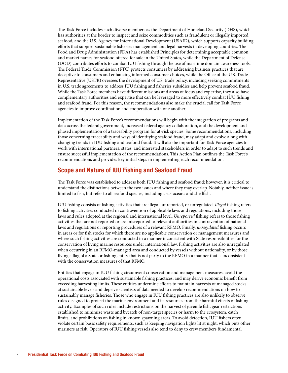The Task Force includes such diverse members as the Department of Homeland Security (DHS), which has authorities at the border to inspect and seize commodities such as fraudulent or illegally imported seafood, and the U.S. Agency for International Development (USAID), which supports capacity building efforts that support sustainable fisheries management and legal harvests in developing countries. The Food and Drug Administration (FDA) has established Principles for determining acceptable common and market names for seafood offered for sale in the United States, while the Department of Defense (DOD) contributes efforts to combat IUU fishing through the use of maritime domain awareness tools. The Federal Trade Commission (FTC) protects consumers by addressing business practices that are deceptive to consumers and enhancing informed consumer choices, while the Office of the U.S. Trade Representative (USTR) oversees the development of U.S. trade policy, including seeking commitments in U.S. trade agreements to address IUU fishing and fisheries subsidies and help prevent seafood fraud. While the Task Force members have different missions and areas of focus and expertise, they also have complementary authorities and expertise that can be leveraged to more effectively combat IUU fishing and seafood fraud. For this reason, the recommendations also make the crucial call for Task Force agencies to improve coordination and cooperation with one another.

Implementation of the Task Force's recommendations will begin with the integration of programs and data across the federal government, increased federal agency collaboration, and the development and phased implementation of a traceability program for at-risk species. Some recommendations, including those concerning traceability and ways of identifying seafood fraud, may adapt and evolve along with changing trends in IUU fishing and seafood fraud. It will also be important for Task Force agencies to work with international partners, states, and interested stakeholders in order to adapt to such trends and ensure successful implementation of the recommendations. This Action Plan outlines the Task Force's recommendations and provides key initial steps in implementing each recommendation.

#### Scope and Nature of IUU Fishing and Seafood Fraud

The Task Force was established to address both IUU fishing and seafood fraud; however, it is critical to understand the distinctions between the two issues and where they may overlap. Notably, neither issue is limited to fish, but refer to all seafood species, including crustaceans and shellfish.

IUU fishing consists of fishing activities that are illegal, unreported, or unregulated. *Illegal* fishing refers to fishing activities conducted in contravention of applicable laws and regulations, including those laws and rules adopted at the regional and international level. *Unreported* fishing refers to those fishing activities that are not reported or are misreported to relevant authorities in contravention of national laws and regulations or reporting procedures of a relevant RFMO. Finally, *unregulated* fishing occurs in areas or for fish stocks for which there are no applicable conservation or management measures and where such fishing activities are conducted in a manner inconsistent with State responsibilities for the conservation of living marine resources under international law. Fishing activities are also unregulated when occurring in an RFMO-managed area and conducted by vessels without nationality, or by those flying a flag of a State or fishing entity that is not party to the RFMO in a manner that is inconsistent with the conservation measures of that RFMO.

Entities that engage in IUU fishing circumvent conservation and management measures, avoid the operational costs associated with sustainable fishing practices, and may derive economic benefit from exceeding harvesting limits. These entities undermine efforts to maintain harvests of managed stocks at sustainable levels and deprive scientists of data needed to develop recommendations on how to sustainably manage fisheries. Those who engage in IUU fishing practices are also unlikely to observe rules designed to protect the marine environment and its resources from the harmful effects of fishing activity. Examples of such rules include restrictions on the harvest of juvenile fish, gear restrictions established to minimize waste and bycatch of non-target species or harm to the ecosystem, catch limits, and prohibitions on fishing in known spawning areas. To avoid detection, IUU fishers often violate certain basic safety requirements, such as keeping navigation lights lit at night, which puts other mariners at risk. Operators of IUU fishing vessels also tend to deny to crew members fundamental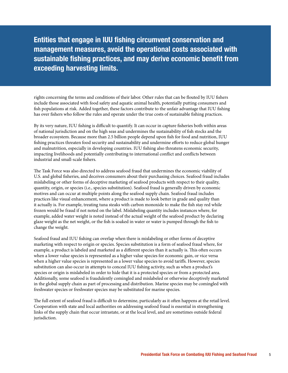Entities that engage in IUU fishing circumvent conservation and management measures, avoid the operational costs associated with sustainable fishing practices, and may derive economic benefit from exceeding harvesting limits.

rights concerning the terms and conditions of their labor. Other rules that can be flouted by IUU fishers include those associated with food safety and aquatic animal health, potentially putting consumers and fish populations at risk. Added together, these factors contribute to the unfair advantage that IUU fishing has over fishers who follow the rules and operate under the true costs of sustainable fishing practices.

By its very nature, IUU fishing is difficult to quantify. It can occur in capture fisheries both within areas of national jurisdiction and on the high seas and undermines the sustainability of fish stocks and the broader ecosystem. Because more than 2.5 billion people depend upon fish for food and nutrition, IUU fishing practices threaten food security and sustainability and undermine efforts to reduce global hunger and malnutrition, especially in developing countries. IUU fishing also threatens economic security, impacting livelihoods and potentially contributing to international conflict and conflicts between industrial and small-scale fishers.

The Task Force was also directed to address seafood fraud that undermines the economic viability of U.S. and global fisheries, and deceives consumers about their purchasing choices. Seafood fraud includes mislabeling or other forms of deceptive marketing of seafood products with respect to their quality, quantity, origin, or species (i.e., species substitution). Seafood fraud is generally driven by economic motives and can occur at multiple points along the seafood supply chain. Seafood fraud includes practices like visual enhancement, where a product is made to look better in grade and quality than it actually is. For example, treating tuna steaks with carbon monoxide to make the fish stay red while frozen would be fraud if not noted on the label. Mislabeling quantity includes instances where, for example, added water weight is noted instead of the actual weight of the seafood product by declaring glaze weight as the net weight, or the fish is soaked in water or water is pumped through the fish to change the weight.

Seafood fraud and IUU fishing can overlap when there is mislabeling or other forms of deceptive marketing with respect to origin or species. Species substitution is a form of seafood fraud where, for example, a product is labeled and marketed as a different species than it actually is. This often occurs when a lower value species is represented as a higher value species for economic gain, or vice versa when a higher value species is represented as a lower value species to avoid tariffs. However, species substitution can also occur in attempts to conceal IUU fishing activity, such as when a product's species or origin is mislabeled in order to hide that it is a protected species or from a protected area. Additionally, some seafood is fraudulently comingled and mislabeled or otherwise deceptively marketed in the global supply chain as part of processing and distribution. Marine species may be comingled with freshwater species or freshwater species may be substituted for marine species.

The full extent of seafood fraud is difficult to determine, particularly as it often happens at the retail level. Cooperation with state and local authorities on addressing seafood fraud is essential in strengthening links of the supply chain that occur intrastate, or at the local level, and are sometimes outside federal jurisdiction.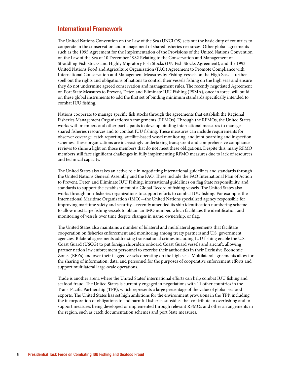#### International Framework

The United Nations Convention on the Law of the Sea (UNCLOS) sets out the basic duty of countries to cooperate in the conservation and management of shared fisheries resources. Other global agreements such as the 1995 Agreement for the Implementation of the Provisions of the United Nations Convention on the Law of the Sea of 10 December 1982 Relating to the Conservation and Management of Straddling Fish Stocks and Highly Migratory Fish Stocks (UN Fish Stocks Agreement), and the 1993 United Nations Food and Agriculture Organization (FAO) Agreement to Promote Compliance with International Conservation and Management Measures by Fishing Vessels on the High Seas—further spell out the rights and obligations of nations to control their vessels fishing on the high seas and ensure they do not undermine agreed conservation and management rules. The recently negotiated Agreement on Port State Measures to Prevent, Deter, and Eliminate IUU Fishing (PSMA), once in force, will build on these global instruments to add the first set of binding minimum standards specifically intended to combat IUU fishing.

Nations cooperate to manage specific fish stocks through the agreements that establish the Regional Fisheries Management Organizations/Arrangements (RFMOs). Through the RFMOs, the United States works with members and other participants to develop binding international measures to manage shared fisheries resources and to combat IUU fishing. These measures can include requirements for observer coverage, catch reporting, satellite-based vessel monitoring, and joint boarding and inspection schemes. These organizations are increasingly undertaking transparent and comprehensive compliance reviews to shine a light on those members that do not meet these obligations. Despite this, many RFMO members still face significant challenges in fully implementing RFMO measures due to lack of resources and technical capacity.

The United States also takes an active role in negotiating international guidelines and standards through the United Nations General Assembly and the FAO. These include the FAO International Plan of Action to Prevent, Deter, and Eliminate IUU Fishing, international guidelines on flag State responsibility, and standards to support the establishment of a Global Record of fishing vessels. The United States also works through non-fisheries organizations to support efforts to combat IUU fishing. For example, the International Maritime Organization (IMO)—the United Nations specialized agency responsible for improving maritime safety and security—recently amended its ship identification numbering scheme to allow most large fishing vessels to obtain an IMO number, which facilitates the identification and monitoring of vessels over time despite changes in name, ownership, or flag.

The United States also maintains a number of bilateral and multilateral agreements that facilitate cooperation on fisheries enforcement and monitoring among treaty partners and U.S. government agencies. Bilateral agreements addressing transnational crimes including IUU fishing enable the U.S. Coast Guard (USCG) to put foreign shipriders onboard Coast Guard vessels and aircraft, allowing partner nation law enforcement personnel to exercise their authorities in their Exclusive Economic Zones (EEZs) and over their flagged vessels operating on the high seas. Multilateral agreements allow for the sharing of information, data, and personnel for the purposes of cooperative enforcement efforts and support multilateral large-scale operations.

Trade is another arena where the United States' international efforts can help combat IUU fishing and seafood fraud. The United States is currently engaged in negotiations with 11 other countries in the Trans-Pacific Partnership (TPP), which represents a large percentage of the value of global seafood exports. The United States has set high ambitions for the environment provisions in the TPP, including the incorporation of obligations to end harmful fisheries subsidies that contribute to overfishing and to support measures being developed or implemented through relevant RFMOs and other arrangements in the region, such as catch documentation schemes and port State measures.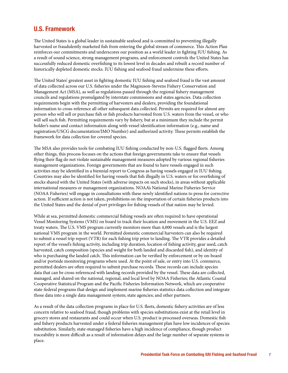#### U.S. Framework

The United States is a global leader in sustainable seafood and is committed to preventing illegally harvested or fraudulently marketed fish from entering the global stream of commerce. This Action Plan reinforces our commitments and underscores our position as a world leader in fighting IUU fishing. As a result of sound science, strong management programs, and enforcement controls the United States has successfully reduced domestic overfishing to its lowest level in decades and rebuilt a record number of historically depleted domestic stocks. IUU fishing and seafood fraud undermine these efforts.

The United States' greatest asset in fighting domestic IUU fishing and seafood fraud is the vast amount of data collected across our U.S. fisheries under the Magnuson-Stevens Fishery Conservation and Management Act (MSA), as well as regulations passed through the regional fishery management councils and regulations promulgated by interstate commissions and states agencies. Data collection requirements begin with the permitting of harvesters and dealers, providing the foundational information to cross-reference all other subsequent data collected. Permits are required for almost any person who will sell or purchase fish or fish products harvested from U.S. waters from the vessel, or who will sell such fish. Permitting requirements vary by fishery, but at a minimum they include the permit holder's name and contact information along with vessel identification information (e.g., name and registration/USCG documentation/IMO Number) and authorized activity. These permits establish the framework for data collection for covered species.

The MSA also provides tools for combating IUU fishing conducted by non-U.S. flagged fleets. Among other things, this process focuses on the actions that foreign governments take to ensure that vessels flying their flag do not violate sustainable management measures adopted by various regional fisheries management organizations. Foreign governments that are found to have vessels engaged in such activities may be identified in a biennial report to Congress as having vessels engaged in IUU fishing. Countries may also be identified for having vessels that fish illegally in U.S. waters or for overfishing of stocks shared with the United States (with adverse impacts on such stocks), in areas without applicable international measures or management organizations. NOAA's National Marine Fisheries Service (NOAA Fisheries) will engage in consultations with these newly identified nations to press for corrective action. If sufficient action is not taken, prohibitions on the importation of certain fisheries products into the United States and the denial of port privileges for fishing vessels of that nation may be levied.

While at sea, permitted domestic commercial fishing vessels are often required to have operational Vessel Monitoring Systems (VMS) on board to track their location and movement in the U.S. EEZ and treaty waters. The U.S. VMS program currently monitors more than 4,000 vessels and is the largest national VMS program in the world. Permitted domestic commercial harvesters can also be required to submit a vessel trip report (VTR) for each fishing trip prior to landing. The VTR provides a detailed report of the vessel's fishing activity, including trip duration, location of fishing activity, gear used, catch harvested, catch composition (species and weight for both landed and discarded fish), and identity of who is purchasing the landed catch. This information can be verified by enforcement or by on-board and/or portside monitoring programs where used. At the point of sale, or entry into U.S. commerce, permitted dealers are often required to submit purchase records. These records can include species data that can be cross-referenced with landing records provided by the vessel. These data are collected, managed, and shared on the national, regional, and local level by NOAA Fisheries; the Atlantic Coastal Cooperative Statistical Program and the Pacific Fisheries Information Network, which are cooperative state-federal programs that design and implement marine fisheries statistics data collection and integrate those data into a single data management system; state agencies; and other partners.

As a result of the data collection programs in place for U.S. fleets, domestic fishery activities are of less concern relative to seafood fraud, though problems with species substitutions exist at the retail level in grocery stores and restaurants and could occur when U.S. product is processed overseas. Domestic fish and fishery products harvested under a federal fisheries management plan have low incidences of species substitution. Similarly, state-managed fisheries have a high incidence of compliance, though product traceability is more difficult as a result of information delays and the large number of separate systems in place.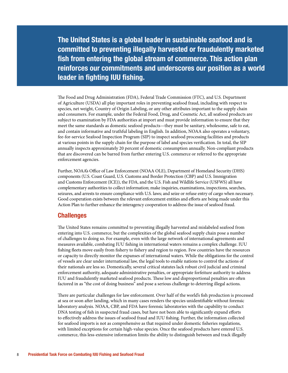The United States is a global leader in sustainable seafood and is committed to preventing illegally harvested or fraudulently marketed fish from entering the global stream of commerce. This action plan reinforces our commitments and underscores our position as a world leader in fighting IUU fishing.

The Food and Drug Administration (FDA), Federal Trade Commission (FTC), and U.S. Department of Agriculture (USDA) all play important roles in preventing seafood fraud, including with respect to species, net weight, Country of Origin Labeling, or any other attributes important to the supply chain and consumers. For example, under the Federal Food, Drug, and Cosmetic Act, all seafood products are subject to examination by FDA authorities at import and must provide information to ensure that they meet the same standards as domestic seafood products—they must be sanitary, wholesome, safe to eat, and contain informative and truthful labeling in English. In addition, NOAA also operates a voluntary, fee-for-service Seafood Inspection Program (SIP) to inspect seafood processing facilities and products at various points in the supply chain for the purpose of label and species verification. In total, the SIP annually inspects approximately 20 percent of domestic consumption annually. Non-compliant products that are discovered can be barred from further entering U.S. commerce or referred to the appropriate enforcement agencies.

Further, NOAA's Office of Law Enforcement (NOAA OLE), Department of Homeland Security (DHS) components (U.S. Coast Guard, U.S. Customs and Border Protection (CBP) and U.S. Immigration and Customs Enforcement (ICE)), the FDA, and the U.S. Fish and Wildlife Service (USFWS) all have complementary authorities to collect information; make inquiries, examinations, inspections, searches, seizures, and arrests to ensure compliance with U.S. laws; and seize or refuse entry of cargo when necessary. Good cooperation exists between the relevant enforcement entities and efforts are being made under this Action Plan to further enhance the interagency cooperation to address the issue of seafood fraud.

#### **Challenges**

The United States remains committed to preventing illegally harvested and mislabeled seafood from entering into U.S. commerce, but the complexities of the global seafood supply chain pose a number of challenges to doing so. For example, even with the large network of international agreements and measures available, combating IUU fishing in international waters remains a complex challenge. IUU fishing fleets move easily from fishery to fishery and region to region. Few countries have the resources or capacity to directly monitor the expanses of international waters. While the obligations for the control of vessels are clear under international law, the legal tools to enable nations to control the actions of their nationals are less so. Domestically, several critical statutes lack robust civil judicial and criminal enforcement authority, adequate administrative penalties, or appropriate forfeiture authority to address IUU and fraudulently marketed seafood products. These low and disproportional penalties are often factored in as "the cost of doing business" and pose a serious challenge to deterring illegal actions.

There are particular challenges for law enforcement. Over half of the world's fish production is processed at sea or soon after landing, which in many cases renders the species unidentifiable without forensic laboratory analysis. NOAA, CBP, and FDA have forensic laboratories with the capability to conduct DNA testing of fish in suspected fraud cases, but have not been able to significantly expand efforts to effectively address the issues of seafood fraud and IUU fishing. Further, the information collected for seafood imports is not as comprehensive as that required under domestic fisheries regulations, with limited exceptions for certain high-value species. Once the seafood products have entered U.S. commerce, this less-extensive information limits the ability to distinguish between and track illegally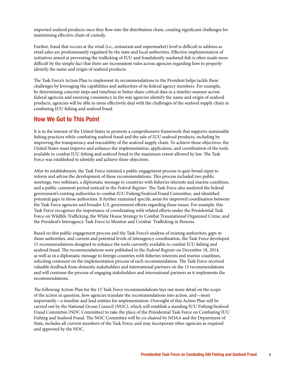imported seafood products once they flow into the distribution chain, creating significant challenges for maintaining effective chain of custody.

Further, fraud that occurs at the retail (i.e., restaurant and supermarket) level is difficult to address as retail sales are predominantly regulated by the state and local authorities. Effective implementation of initiatives aimed at preventing the trafficking of IUU and fraudulently marketed fish is often made more difficult by the simple fact that there are inconsistent rules across agencies regarding how to properly identify the name and origin of seafood products.

The Task Force's Action Plan to implement its recommendations to the President helps tackle these challenges by leveraging the capabilities and authorities of its federal agency members. For example, by determining concrete steps and timelines to better share critical data in a timelier manner across federal agencies and ensuring consistency in the way agencies identify the name and origin of seafood products, agencies will be able to more effectively deal with the challenges of the seafood supply chain in combating IUU fishing and seafood fraud.

#### How We Got to This Point

It is in the interest of the United States to promote a comprehensive framework that supports sustainable fishing practices while combating seafood fraud and the sale of IUU seafood products, including by improving the transparency and traceability of the seafood supply chain. To achieve these objectives, the United States must improve and enhance the implementation, application, and coordination of the tools available to combat IUU fishing and seafood fraud to the maximum extent allowed by law. The Task Force was established to identify and achieve these objectives.

After its establishment, the Task Force initiated a public engagement process to gain broad input to inform and advise the development of these recommendations. This process included two public meetings, two webinars, a diplomatic message to countries with fisheries interests and marine coastlines, and a public comment period noticed in the *Federal Register*. The Task Force also analyzed the federal government's existing authorities to combat IUU Fishing/Seafood Fraud Committee, and identified potential gaps in those authorities. It further examined specific areas for improved coordination between the Task Force agencies and broader U.S. government efforts regarding these issues. For example, this Task Force recognizes the importance of coordinating with related efforts under the Presidential Task Force on Wildlife Trafficking, the White House Strategy to Combat Transnational Organized Crime, and the President's Interagency Task Force to Monitor and Combat Trafficking in Persons.

Based on this public engagement process and the Task Force's analysis of existing authorities, gaps in those authorities, and current and potential levels of interagency coordination, the Task Force developed 15 recommendations designed to enhance the tools currently available to combat IUU fishing and seafood fraud. The recommendations were published in the *Federal Register* on December 18, 2014, as well as in a diplomatic message to foreign countries with fisheries interests and marine coastlines, soliciting comment on the implementation process of each recommendation. The Task Force received valuable feedback from domestic stakeholders and international partners on the 15 recommendations and will continue the process of engaging stakeholders and international partners as it implements the recommendations.

The following Action Plan for the 15 Task Force recommendations lays out more detail on the scope of the action in question, how agencies translate the recommendations into action, and—most importantly—a timeline and lead entities for implementation. Oversight of this Action Plan will be carried out by the National Ocean Council (NOC), which will establish a standing IUU Fishing/Seafood Fraud Committee (NOC Committee) to take the place of the Presidential Task Force on Combating IUU Fishing and Seafood Fraud. The NOC Committee will be co-chaired by NOAA and the Department of State, includes all current members of the Task Force, and may incorporate other agencies as required and approved by the NOC.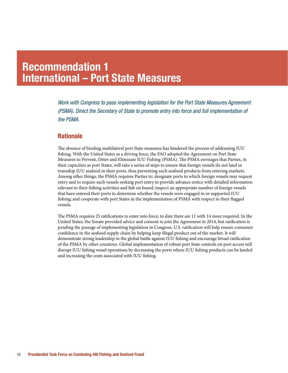### Recommendation 1 International – Port State Measures

*Work with Congress to pass implementing legislation for the Port State Measures Agreement (PSMA). Direct the Secretary of State to promote entry into force and full implementation of the PSMA.*

#### **Rationale**

The absence of binding multilateral port State measures has hindered the process of addressing IUU fishing. With the United States as a driving force, the FAO adopted the Agreement on Port State Measures to Prevent, Deter and Eliminate IUU Fishing (PSMA). The PSMA envisages that Parties, in their capacities as port States, will take a series of steps to ensure that foreign vessels do not land or transship IUU seafood in their ports, thus preventing such seafood products from entering markets. Among other things, the PSMA requires Parties to: designate ports to which foreign vessels may request entry and to require such vessels seeking port entry to provide advance notice with detailed information relevant to their fishing activities and fish on board; inspect an appropriate number of foreign vessels that have entered their ports to determine whether the vessels were engaged in or supported IUU fishing; and cooperate with port States in the implementation of PSMA with respect to their flagged vessels.

The PSMA requires 25 ratifications to enter into force; to date there are 11 with 14 more required. In the United States, the Senate provided advice and consent to join the Agreement in 2014, but ratification is pending the passage of implementing legislation in Congress. U.S. ratification will help ensure consumer confidence in the seafood supply chain by helping keep illegal product out of the market. It will demonstrate strong leadership in the global battle against IUU fishing and encourage broad ratification of the PSMA by other countries. Global implementation of robust port State controls on port access will disrupt IUU fishing vessel operations by decreasing the ports where IUU fishing products can be landed and increasing the costs associated with IUU fishing.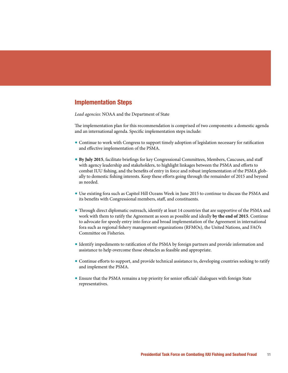*Lead agencies:* NOAA and the Department of State

The implementation plan for this recommendation is comprised of two components: a domestic agenda and an international agenda. Specific implementation steps include:

- Continue to work with Congress to support timely adoption of legislation necessary for ratification and effective implementation of the PSMA.
- $\bullet$  By July 2015, facilitate briefings for key Congressional Committees, Members, Caucuses, and staff with agency leadership and stakeholders, to highlight linkages between the PSMA and efforts to combat IUU fishing, and the benefits of entry in force and robust implementation of the PSMA globally to domestic fishing interests. Keep these efforts going through the remainder of 2015 and beyond as needed.
- Use existing fora such as Capitol Hill Oceans Week in June 2015 to continue to discuss the PSMA and its benefits with Congressional members, staff, and constituents.
- Through direct diplomatic outreach, identify at least 14 countries that are supportive of the PSMA and work with them to ratify the Agreement as soon as possible and ideally by the end of 2015. Continue to advocate for speedy entry into force and broad implementation of the Agreement in international fora such as regional fishery management organizations (RFMOs), the United Nations, and FAO's Committee on Fisheries.
- Identify impediments to ratification of the PSMA by foreign partners and provide information and assistance to help overcome those obstacles as feasible and appropriate.
- Continue efforts to support, and provide technical assistance to, developing countries seeking to ratify and implement the PSMA.
- Ensure that the PSMA remains a top priority for senior officials' dialogues with foreign State representatives.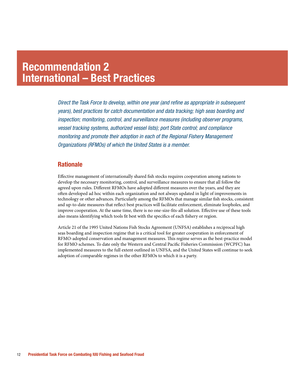### Recommendation 2 International – Best Practices

*Direct the Task Force to develop, within one year (and refine as appropriate in subsequent years), best practices for catch documentation and data tracking; high seas boarding and inspection; monitoring, control, and surveillance measures (including observer programs, vessel tracking systems, authorized vessel lists); port State control; and compliance monitoring and promote their adoption in each of the Regional Fishery Management Organizations (RFMOs) of which the United States is a member.*

#### **Rationale**

Effective management of internationally shared fish stocks requires cooperation among nations to develop the necessary monitoring, control, and surveillance measures to ensure that all follow the agreed upon rules. Different RFMOs have adopted different measures over the years, and they are often developed ad hoc within each organization and not always updated in light of improvements in technology or other advances. Particularly among the RFMOs that manage similar fish stocks, consistent and up-to-date measures that reflect best practices will facilitate enforcement, eliminate loopholes, and improve cooperation. At the same time, there is no one-size-fits-all solution. Effective use of these tools also means identifying which tools fit best with the specifics of each fishery or region.

Article 21 of the 1995 United Nations Fish Stocks Agreement (UNFSA) establishes a reciprocal high seas boarding and inspection regime that is a critical tool for greater cooperation in enforcement of RFMO-adopted conservation and management measures. This regime serves as the best-practice model for RFMO schemes. To date only the Western and Central Pacific Fisheries Commission (WCPFC) has implemented measures to the full extent outlined in UNFSA, and the United States will continue to seek adoption of comparable regimes in the other RFMOs to which it is a party.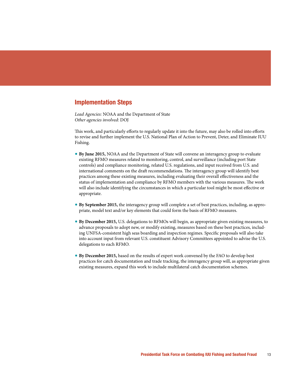*Lead Agencies:* NOAA and the Department of State *Other agencies involved:* DOJ

This work, and particularly efforts to regularly update it into the future, may also be rolled into efforts to revise and further implement the U.S. National Plan of Action to Prevent, Deter, and Eliminate IUU Fishing.

- **By June 2015, NOAA and the Department of State will convene an interagency group to evaluate** existing RFMO measures related to monitoring, control, and surveillance (including port State controls) and compliance monitoring, related U.S. regulations, and input received from U.S. and international comments on the draft recommendations. The interagency group will identify best practices among these existing measures, including evaluating their overall effectiveness and the status of implementation and compliance by RFMO members with the various measures. The work will also include identifying the circumstances in which a particular tool might be most effective or appropriate.
- **By September 2015, the interagency group will complete a set of best practices, including, as appro**priate, model text and/or key elements that could form the basis of RFMO measures.
- **By December 2015, U.S. delegations to RFMOs will begin, as appropriate given existing measures, to** advance proposals to adopt new, or modify existing, measures based on these best practices, including UNFSA-consistent high seas boarding and inspection regimes. Specific proposals will also take into account input from relevant U.S. constituent Advisory Committees appointed to advise the U.S. delegations to each RFMO.
- **By December 2015,** based on the results of expert work convened by the FAO to develop best practices for catch documentation and trade tracking, the interagency group will, as appropriate given existing measures, expand this work to include multilateral catch documentation schemes.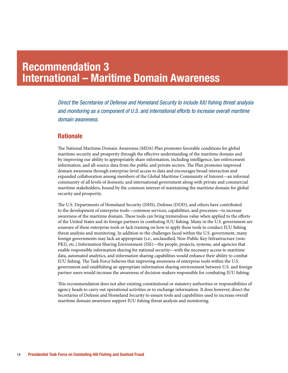### Recommendation 3 International – Maritime Domain Awareness

*Direct the Secretaries of Defense and Homeland Security to include IUU fishing threat analysis and monitoring as a component of U.S. and international efforts to increase overall maritime domain awareness.*

#### **Rationale**

The National Maritime Domain Awareness (MDA) Plan promotes favorable conditions for global maritime security and prosperity through the effective understanding of the maritime domain and by improving our ability to appropriately share information, including intelligence, law enforcement information, and all-source data from the public and private sectors. The Plan promotes improved domain awareness through enterprise-level access to data and encourages broad interaction and expanded collaboration among members of the Global Maritime Community of Interest—an informal community of all levels of domestic and international government along with private and commercial maritime stakeholders, bound by the common interest of maintaining the maritime domain for global security and prosperity.

The U.S. Departments of Homeland Security (DHS), Defense (DOD), and others have contributed to the development of enterprise tools—common services, capabilities, and processes—to increase awareness of the maritime domain. These tools can bring tremendous value when applied to the efforts of the United States and its foreign partners in combating IUU fishing. Many in the U.S. government are unaware of these enterprise tools or lack training on how to apply these tools to conduct IUU fishing threat analysis and monitoring. In addition to the challenges faced within the U.S. government, many foreign governments may lack an appropriate (i.e., unclassified, Non-Public Key Infrastructure (non-PKI), etc.) Information Sharing Environment (ISE)—the people, projects, systems, and agencies that enable responsible information sharing for national security—with the necessary access to maritime data, automated analytics, and information sharing capabilities would enhance their ability to combat IUU fishing. The Task Force believes that improving awareness of enterprise tools within the U.S. government and establishing an appropriate information sharing environment between U.S. and foreign partner users would increase the awareness of decision-makers responsible for combating IUU fishing.

This recommendation does not alter existing constitutional or statutory authorities or responsibilities of agency heads to carry out operational activities or to exchange information. It does however, direct the Secretaries of Defense and Homeland Security to ensure tools and capabilities used to increase overall maritime domain awareness support IUU fishing threat analysis and monitoring.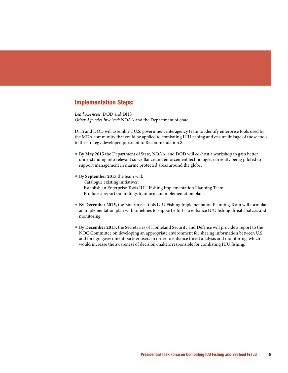*Lead Agencies:* DOD and DHS *Other Agencies Involved:* NOAA and the Department of State

DHS and DOD will assemble a U.S. government interagency team to identify enterprise tools used by the MDA community that could be applied to combating IUU fishing and ensure linkage of those tools to the strategy developed pursuant to Recommendation 8.

- **By May 2015** the Department of State, NOAA, and DOD will co-host a workshop to gain better understanding into relevant surveillance and enforcement technologies currently being piloted to support management in marine protected areas around the globe.
- **By September 2015** the team will:

Catalogue existing initiatives. Establish an Enterprise Tools IUU Fishing Implementation Planning Team. Produce a report on findings to inform an implementation plan.

- **By December 2015, the Enterprise Tools IUU Fishing Implementation Planning Team will formulate** an implementation plan with timelines to support efforts to enhance IUU fishing threat analysis and monitoring.
- **By December 2015, the Secretaries of Homeland Security and Defense will provide a report to the** NOC Committee on developing an appropriate environment for sharing information between U.S. and foreign government partner users in order to enhance threat analysis and monitoring, which would increase the awareness of decision-makers responsible for combating IUU fishing.

Presidential Task Force on Combating IUU Fishing and Seafood Fraud 15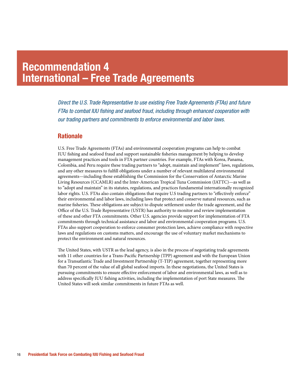### Recommendation 4 International – Free Trade Agreements

*Direct the U.S. Trade Representative to use existing Free Trade Agreements (FTAs) and future FTAs to combat IUU fishing and seafood fraud, including through enhanced cooperation with our trading partners and commitments to enforce environmental and labor laws.* 

#### **Rationale**

U.S. Free Trade Agreements (FTAs) and environmental cooperation programs can help to combat IUU fishing and seafood fraud and support sustainable fisheries management by helping to develop management practices and tools in FTA partner countries. For example, FTAs with Korea, Panama, Colombia, and Peru require these trading partners to "adopt, maintain and implement" laws, regulations, and any other measures to fulfill obligations under a number of relevant multilateral environmental agreements—including those establishing the Commission for the Conservation of Antarctic Marine Living Resources (CCAMLR) and the Inter-American Tropical Tuna Commission (IATTC)—as well as to "adopt and maintain" in its statutes, regulations, and practices fundamental internationally recognized labor rights. U.S. FTAs also contain obligations that require U.S trading partners to "effectively enforce" their environmental and labor laws, including laws that protect and conserve natural resources, such as marine fisheries. These obligations are subject to dispute settlement under the trade agreement, and the Office of the U.S. Trade Representative (USTR) has authority to monitor and review implementation of these and other FTA commitments. Other U.S. agencies provide support for implementation of FTA commitments through technical assistance and labor and environmental cooperation programs. U.S. FTAs also support cooperation to enforce consumer protection laws, achieve compliance with respective laws and regulations on customs matters, and encourage the use of voluntary market mechanisms to protect the environment and natural resources.

The United States, with USTR as the lead agency, is also in the process of negotiating trade agreements with 11 other countries for a Trans-Pacific Partnership (TPP) agreement and with the European Union for a Transatlantic Trade and Investment Partnership (T-TIP) agreement, together representing more than 70 percent of the value of all global seafood imports. In these negotiations, the United States is pursuing commitments to ensure e#ective enforcement of labor and environmental laws, as well as to address specifically IUU fishing activities, including the implementation of port State measures. The United States will seek similar commitments in future FTAs as well.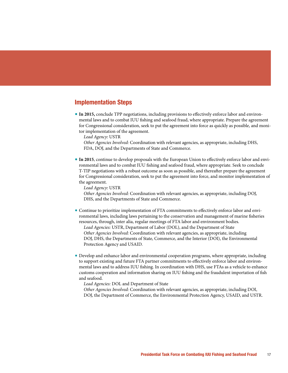**In 2015, conclude TPP negotiations, including provisions to effectively enforce labor and environ**mental laws and to combat IUU fishing and seafood fraud, where appropriate. Prepare the agreement for Congressional consideration, seek to put the agreement into force as quickly as possible, and monitor implementation of the agreement.

*Lead Agency*: USTR

*Other Agencies Involved:* Coordination with relevant agencies, as appropriate, including DHS, FDA, DOJ, and the Departments of State and Commerce.

**The 2015**, continue to develop proposals with the European Union to effectively enforce labor and environmental laws and to combat IUU fishing and seafood fraud, where appropriate. Seek to conclude T-TIP negotiations with a robust outcome as soon as possible, and thereafter prepare the agreement for Congressional consideration, seek to put the agreement into force, and monitor implementation of the agreement.

*Lead Agency*: USTR

*Other Agencies Involved:* Coordination with relevant agencies, as appropriate, including DOJ, DHS, and the Departments of State and Commerce.

- Continue to prioritize implementation of FTA commitments to effectively enforce labor and environmental laws, including laws pertaining to the conservation and management of marine fisheries resources, through, inter alia, regular meetings of FTA labor and environment bodies. *Lead Agencies:* USTR, Department of Labor (DOL), and the Department of State *Other Agencies Involved:* Coordination with relevant agencies, as appropriate, including DOJ, DHS, the Departments of State, Commerce, and the Interior (DOI), the Environmental Protection Agency and USAID.
- Develop and enhance labor and environmental cooperation programs, where appropriate, including to support existing and future FTA partner commitments to effectively enforce labor and environmental laws and to address IUU fishing. In coordination with DHS, use FTAs as a vehicle to enhance customs cooperation and information sharing on IUU fishing and the fraudulent importation of fish and seafood.

*Lead Agencies:* DOL and Department of State

*Other Agencies Involved:* Coordination with relevant agencies, as appropriate, including DOI, DOJ, the Department of Commerce, the Environmental Protection Agency, USAID, and USTR.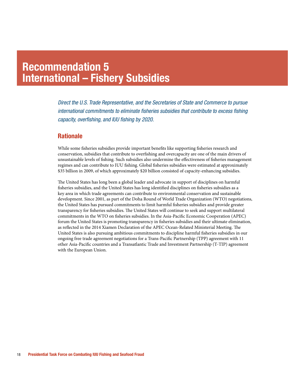### Recommendation 5 International – Fishery Subsidies

*Direct the U.S. Trade Representative, and the Secretaries of State and Commerce to pursue international commitments to eliminate fisheries subsidies that contribute to excess fishing capacity, overfishing, and IUU fishing by 2020.*

#### **Rationale**

While some fisheries subsidies provide important benefits like supporting fisheries research and conservation, subsidies that contribute to overfishing and overcapacity are one of the main drivers of unsustainable levels of fishing. Such subsidies also undermine the effectiveness of fisheries management regimes and can contribute to IUU fishing. Global fisheries subsidies were estimated at approximately \$35 billion in 2009, of which approximately \$20 billion consisted of capacity-enhancing subsidies.

The United States has long been a global leader and advocate in support of disciplines on harmful fisheries subsidies, and the United States has long identified disciplines on fisheries subsidies as a key area in which trade agreements can contribute to environmental conservation and sustainable development. Since 2001, as part of the Doha Round of World Trade Organization (WTO) negotiations, the United States has pursued commitments to limit harmful fisheries subsidies and provide greater transparency for fisheries subsidies. The United States will continue to seek and support multilateral commitments in the WTO on fisheries subsidies. In the Asia-Pacific Economic Cooperation (APEC) forum the United States is promoting transparency in fisheries subsidies and their ultimate elimination, as reflected in the 2014 Xiamen Declaration of the APEC Ocean-Related Ministerial Meeting. The United States is also pursuing ambitious commitments to discipline harmful fisheries subsidies in our ongoing free trade agreement negotiations for a Trans-Pacific Partnership (TPP) agreement with 11 other Asia-Pacific countries and a Transatlantic Trade and Investment Partnership (T-TIP) agreement with the European Union.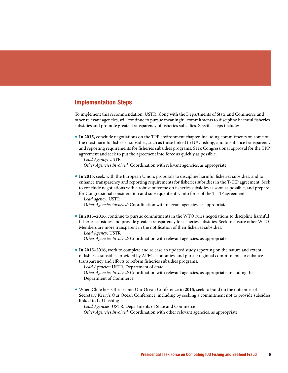To implement this recommendation, USTR, along with the Departments of State and Commerce and other relevant agencies, will continue to pursue meaningful commitments to discipline harmful fisheries subsidies and promote greater transparency of fisheries subsidies. Specific steps include:

**In 2015, conclude negotiations on the TPP environment chapter, including commitments on some of** the most harmful fisheries subsidies, such as those linked to IUU fishing, and to enhance transparency and reporting requirements for fisheries subsidies programs. Seek Congressional approval for the TPP agreement and seek to put the agreement into force as quickly as possible.

*Lead Agency:* USTR

*Other Agencies Involved:* Coordination with relevant agencies, as appropriate.

**In 2015, seek, with the European Union, proposals to discipline harmful fisheries subsidies, and to** enhance transparency and reporting requirements for fisheries subsidies in the T-TIP agreement. Seek to conclude negotiations with a robust outcome on fisheries subsidies as soon as possible, and prepare for Congressional consideration and subsequent entry into force of the T-TIP agreement. *Lead agency:* USTR

*Other Agencies involved:* Coordination with relevant agencies, as appropriate.

**The 10015–2016**, continue to pursue commitments in the WTO rules negotiations to discipline harmful fisheries subsidies and provide greater transparency for fisheries subsidies. Seek to ensure other WTO Members are more transparent in the notification of their fisheries subsidies.

*Lead Agency:* USTR

*Other Agencies Involved:* Coordination with relevant agencies, as appropriate.

**In 2015–2016,** work to complete and release an updated study reporting on the nature and extent of fisheries subsidies provided by APEC economies, and pursue regional commitments to enhance transparency and efforts to reform fisheries subsidies programs.

*Lead Agencies:* USTR, Department of State

*Other Agencies Involved:* Coordination with relevant agencies, as appropriate, including the Department of Commerce.

• When Chile hosts the second Our Ocean Conference in 2015, seek to build on the outcomes of Secretary Kerry's Our Ocean Conference, including by seeking a commitment not to provide subsidies linked to IUU fishing.

*Lead Agencies:* USTR, Departments of State and Commerce

*Other Agencies Involved:* Coordination with other relevant agencies, as appropriate.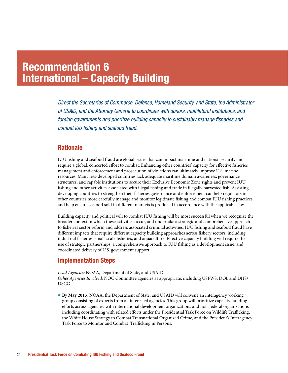### Recommendation 6 International – Capacity Building

*Direct the Secretaries of Commerce, Defense, Homeland Security, and State, the Administrator of USAID, and the Attorney General to coordinate with donors, multilateral institutions, and foreign governments and prioritize building capacity to sustainably manage fisheries and combat IUU fishing and seafood fraud.*

#### **Rationale**

IUU fishing and seafood fraud are global issues that can impact maritime and national security and require a global, concerted effort to combat. Enhancing other countries' capacity for effective fisheries management and enforcement and prosecution of violations can ultimately improve U.S. marine resources. Many less-developed countries lack adequate maritime domain awareness, governance structures, and capable institutions to secure their Exclusive Economic Zone rights and prevent IUU fishing and other activities associated with illegal fishing and trade in illegally harvested fish. Assisting developing countries to strengthen their fisheries governance and enforcement can help regulators in other countries more carefully manage and monitor legitimate fishing and combat IUU fishing practices and help ensure seafood sold in different markets is produced in accordance with the applicable law.

Building capacity and political will to combat IUU fishing will be most successful when we recognize the broader context in which these activities occur, and undertake a strategic and comprehensive approach to fisheries sector reform and address associated criminal activities. IUU fishing and seafood fraud have different impacts that require different capacity building approaches across fishery sectors, including: industrial fisheries, small-scale fisheries, and aquaculture. Effective capacity building will require the use of strategic partnerships, a comprehensive approach to IUU fishing as a development issue, and coordinated delivery of U.S. government support.

#### Implementation Steps

*Lead Agencies:* NOAA, Department of State, and USAID *Other Agencies Involved:* NOC Committee agencies as appropriate, including USFWS, DOJ, and DHS/ USCG

**• By May 2015, NOAA, the Department of State, and USAID will convene an interagency working** group consisting of experts from all interested agencies. This group will prioritize capacity building efforts across agencies, with international development organizations and non-federal organizations including coordinating with related efforts under the Presidential Task Force on Wildlife Trafficking, the White House Strategy to Combat Transnational Organized Crime, and the President's Interagency Task Force to Monitor and Combat Trafficking in Persons.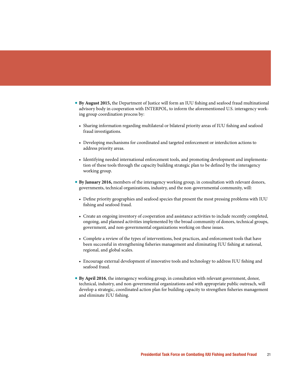- **By August 2015, the Department of Justice will form an IUU fishing and seafood fraud multinational** advisory body in cooperation with INTERPOL, to inform the aforementioned U.S. interagency working group coordination process by:
	- Sharing information regarding multilateral or bilateral priority areas of IUU fishing and seafood fraud investigations.
	- r Developing mechanisms for coordinated and targeted enforcement or interdiction actions to address priority areas.
	- r Identifying needed international enforcement tools, and promoting development and implementation of these tools through the capacity building strategic plan to be defined by the interagency working group.
- **By January 2016, members of the interagency working group, in consultation with relevant donors,** governments, technical organizations, industry, and the non-governmental community, will:
	- Define priority geographies and seafood species that present the most pressing problems with IUU fishing and seafood fraud.
	- Create an ongoing inventory of cooperation and assistance activities to include recently completed, ongoing, and planned activities implemented by the broad community of donors, technical groups, government, and non-governmental organizations working on these issues.
	- r Complete a review of the types of interventions, best practices, and enforcement tools that have been successful in strengthening fisheries management and eliminating IUU fishing at national, regional, and global scales.
	- Encourage external development of innovative tools and technology to address IUU fishing and seafood fraud.
- **By April 2016,** the interagency working group, in consultation with relevant government, donor, technical, industry, and non-governmental organizations and with appropriate public outreach, will develop a strategic, coordinated action plan for building capacity to strengthen fisheries management and eliminate IUU fishing.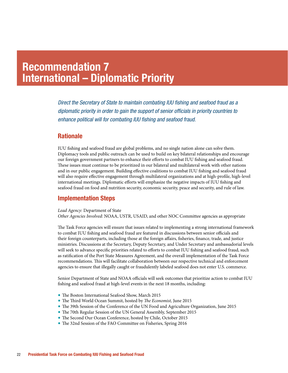### Recommendation 7 International – Diplomatic Priority

*Direct the Secretary of State to maintain combating IUU fishing and seafood fraud as a diplomatic priority in order to gain the support of senior officials in priority countries to enhance political will for combating IUU fishing and seafood fraud.*

#### **Rationale**

IUU fishing and seafood fraud are global problems, and no single nation alone can solve them. Diplomacy tools and public outreach can be used to build on key bilateral relationships and encourage our foreign government partners to enhance their efforts to combat IUU fishing and seafood fraud. These issues must continue to be prioritized in our bilateral and multilateral work with other nations and in our public engagement. Building effective coalitions to combat IUU fishing and seafood fraud will also require effective engagement through multilateral organizations and at high-profile, high-level international meetings. Diplomatic efforts will emphasize the negative impacts of IUU fishing and seafood fraud on food and nutrition security, economic security, peace and security, and rule of law.

#### Implementation Steps

*Lead Agency:* Department of State *Other Agencies Involved:* NOAA, USTR, USAID, and other NOC Committee agencies as appropriate

The Task Force agencies will ensure that issues related to implementing a strong international framework to combat IUU fishing and seafood fraud are featured in discussions between senior officials and their foreign counterparts, including those at the foreign affairs, fisheries, finance, trade, and justice ministries. Discussions at the Secretary, Deputy Secretary, and Under Secretary and ambassadorial levels will seek to advance specific priorities related to efforts to combat IUU fishing and seafood fraud, such as ratification of the Port State Measures Agreement, and the overall implementation of the Task Force recommendations. This will facilitate collaboration between our respective technical and enforcement agencies to ensure that illegally caught or fraudulently labeled seafood does not enter U.S. commerce.

Senior Department of State and NOAA officials will seek outcomes that prioritize action to combat IUU fishing and seafood fraud at high-level events in the next 18 months, including:

- The Boston International Seafood Show, March 2015
- The Third World Ocean Summit, hosted by *The Economist*, June 2015
- The 39th Session of the Conference of the UN Food and Agriculture Organization, June 2015
- The 70th Regular Session of the UN General Assembly, September 2015
- $\bullet$  The Second Our Ocean Conference, hosted by Chile, October 2015
- The 32nd Session of the FAO Committee on Fisheries, Spring 2016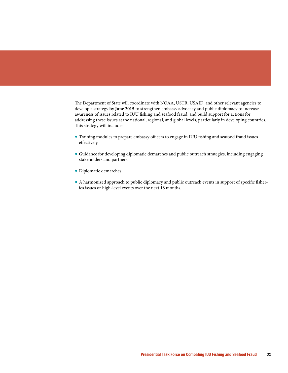The Department of State will coordinate with NOAA, USTR, USAID, and other relevant agencies to develop a strategy by June 2015 to strengthen embassy advocacy and public diplomacy to increase awareness of issues related to IUU fishing and seafood fraud, and build support for actions for addressing these issues at the national, regional, and global levels, particularly in developing countries. This strategy will include:

- Training modules to prepare embassy officers to engage in IUU fishing and seafood fraud issues effectively.
- rGuidance for developing diplomatic demarches and public outreach strategies, including engaging stakeholders and partners.
- Diplomatic demarches.
- A harmonized approach to public diplomacy and public outreach events in support of specific fisheries issues or high-level events over the next 18 months.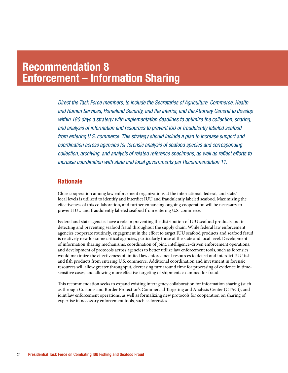### Recommendation 8 Enforcement – Information Sharing

*Direct the Task Force members, to include the Secretaries of Agriculture, Commerce, Health and Human Services, Homeland Security, and the Interior, and the Attorney General to develop within 180 days a strategy with implementation deadlines to optimize the collection, sharing, and analysis of information and resources to prevent IUU or fraudulently labeled seafood from entering U.S. commerce. This strategy should include a plan to increase support and coordination across agencies for forensic analysis of seafood species and corresponding collection, archiving, and analysis of related reference specimens, as well as reflect efforts to increase coordination with state and local governments per Recommendation 11.*

#### **Rationale**

Close cooperation among law enforcement organizations at the international, federal, and state/ local levels is utilized to identify and interdict IUU and fraudulently labeled seafood. Maximizing the effectiveness of this collaboration, and further enhancing ongoing cooperation will be necessary to prevent IUU and fraudulently labeled seafood from entering U.S. commerce.

Federal and state agencies have a role in preventing the distribution of IUU seafood products and in detecting and preventing seafood fraud throughout the supply chain. While federal law enforcement agencies cooperate routinely, engagement in the effort to target IUU seafood products and seafood fraud is relatively new for some critical agencies, particularly those at the state and local level. Development of information sharing mechanisms, coordination of joint, intelligence-driven enforcement operations, and development of protocols across agencies to better utilize law enforcement tools, such as forensics, would maximize the effectiveness of limited law enforcement resources to detect and interdict IUU fish and fish products from entering U.S. commerce. Additional coordination and investment in forensic resources will allow greater throughput, decreasing turnaround time for processing of evidence in timesensitive cases, and allowing more effective targeting of shipments examined for fraud.

This recommendation seeks to expand existing interagency collaboration for information sharing (such as through Customs and Border Protection's Commercial Targeting and Analysis Center (CTAC)), and joint law enforcement operations, as well as formalizing new protocols for cooperation on sharing of expertise in necessary enforcement tools, such as forensics.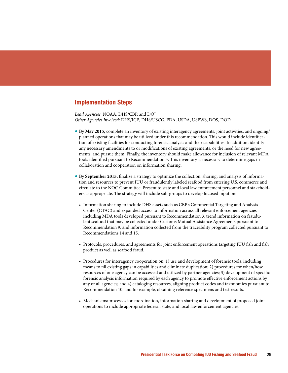*Lead Agencies:* NOAA, DHS/CBP, and DOJ *Other Agencies Involved:* DHS/ICE, DHS/USCG, FDA, USDA, USFWS, DOS, DOD

- **By May 2015, complete an inventory of existing interagency agreements, joint activities, and ongoing/** planned operations that may be utilized under this recommendation. This would include identification of existing facilities for conducting forensic analysis and their capabilities. In addition, identify any necessary amendments to or modifications of existing agreements, or the need for new agreements, and pursue them. Finally, the inventory should make allowance for inclusion of relevant MDA tools identified pursuant to Recommendation 3. This inventory is necessary to determine gaps in collaboration and cooperation on information sharing.
- **By September 2015, finalize a strategy to optimize the collection, sharing, and analysis of informa**tion and resources to prevent IUU or fraudulently labeled seafood from entering U.S. commerce and circulate to the NOC Committee. Present to state and local law enforcement personnel and stakeholders as appropriate. The strategy will include sub-groups to develop focused input on:
	- r Information sharing to include DHS assets such as CBP's Commercial Targeting and Analysis Center (CTAC) and expanded access to information across all relevant enforcement agencies including MDA tools developed pursuant to Recommendation 3, trend information on fraudulent seafood that may be collected under Customs Mutual Assistance Agreements pursuant to Recommendation 9, and information collected from the traceability program collected pursuant to Recommendations 14 and 15.
	- Protocols, procedures, and agreements for joint enforcement operations targeting IUU fish and fish product as well as seafood fraud.
	- r Procedures for interagency cooperation on: 1) use and development of forensic tools, including means to fill existing gaps in capabilities and eliminate duplication; 2) procedures for when/how resources of one agency can be accessed and utilized by partner agencies; 3) development of specific forensic analysis information required by each agency to promote effective enforcement actions by any or all agencies; and 4) cataloging resources, aligning product codes and taxonomies pursuant to Recommendation 10, and for example, obtaining reference specimens and test results.
	- r Mechanisms/processes for coordination, information sharing and development of proposed joint operations to include appropriate federal, state, and local law enforcement agencies.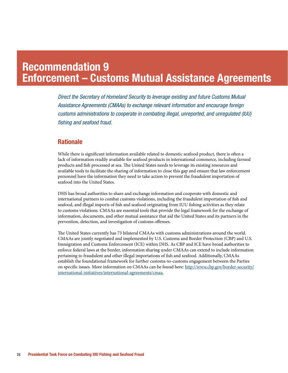### Recommendation 9 Enforcement – Customs Mutual Assistance Agreements

*Direct the Secretary of Homeland Security to leverage existing and future Customs Mutual Assistance Agreements (CMAAs) to exchange relevant information and encourage foreign customs administrations to cooperate in combating illegal, unreported, and unregulated (IUU) fishing and seafood fraud.*

#### **Rationale**

While there is significant information available related to domestic seafood product, there is often a lack of information readily available for seafood products in international commerce, including farmed products and fish processed at sea. The United States needs to leverage its existing resources and available tools to facilitate the sharing of information to close this gap and ensure that law enforcement personnel have the information they need to take action to prevent the fraudulent importation of seafood into the United States.

DHS has broad authorities to share and exchange information and cooperate with domestic and international partners to combat customs violations, including the fraudulent importation of fish and seafood, and illegal imports of fish and seafood originating from IUU fishing activities as they relate to customs violations. CMAAs are essential tools that provide the legal framework for the exchange of information, documents, and other mutual assistance that aid the United States and its partners in the prevention, detection, and investigation of customs offenses.

The United States currently has 73 bilateral CMAAs with customs administrations around the world. CMAAs are jointly negotiated and implemented by U.S. Customs and Border Protection (CBP) and U.S. Immigration and Customs Enforcement (ICE) within DHS. As CBP and ICE have broad authorities to enforce federal laws at the border, information sharing under CMAAs can extend to include information pertaining to fraudulent and other illegal importations of fish and seafood. Additionally, CMAAs establish the foundational framework for further customs-to-customs engagement between the Parties on specific issues. More information on CMAAs can be found here: http://www.cbp.gov/border-security/ international-initiatives/international-agreements/cmaa.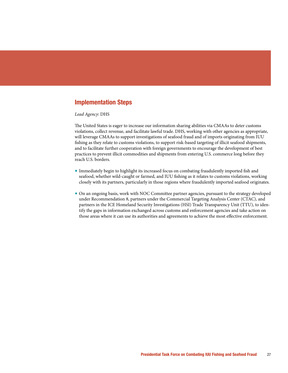#### *Lead Agency*: DHS

The United States is eager to increase our information sharing abilities via CMAAs to deter customs violations, collect revenue, and facilitate lawful trade. DHS, working with other agencies as appropriate, will leverage CMAAs to support investigations of seafood fraud and of imports originating from IUU fishing as they relate to customs violations, to support risk-based targeting of illicit seafood shipments, and to facilitate further cooperation with foreign governments to encourage the development of best practices to prevent illicit commodities and shipments from entering U.S. commerce long before they reach U.S. borders.

- Immediately begin to highlight its increased focus on combating fraudulently imported fish and seafood, whether wild-caught or farmed, and IUU fishing as it relates to customs violations, working closely with its partners, particularly in those regions where fraudulently imported seafood originates.
- On an ongoing basis, work with NOC Committee partner agencies, pursuant to the strategy developed under Recommendation 8, partners under the Commercial Targeting Analysis Center (CTAC), and partners in the ICE Homeland Security Investigations (HSI) Trade Transparency Unit (TTU), to identify the gaps in information exchanged across customs and enforcement agencies and take action on those areas where it can use its authorities and agreements to achieve the most effective enforcement.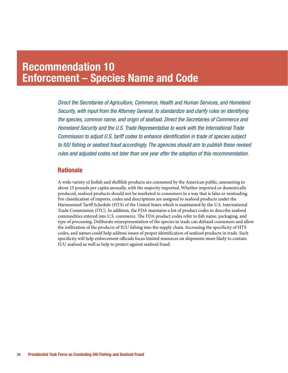### Recommendation 10 Enforcement – Species Name and Code

*Direct the Secretaries of Agriculture, Commerce, Health and Human Services, and Homeland Security, with input from the Attorney General, to standardize and clarify rules on identifying the species, common name, and origin of seafood. Direct the Secretaries of Commerce and Homeland Security and the U.S. Trade Representative to work with the International Trade Commission to adjust U.S. tariff codes to enhance identification in trade of species subject to IUU fishing or seafood fraud accordingly. The agencies should aim to publish these revised rules and adjusted codes not later than one year after the adoption of this recommendation.*

#### **Rationale**

A wide variety of finfish and shell fish products are consumed by the American public, amounting to about 15 pounds per capita annually, with the majority imported. Whether imported or domestically produced, seafood products should not be marketed to consumers in a way that is false or misleading. For classification of imports, codes and descriptions are assigned to seafood products under the Harmonized Tariff Schedule (HTS) of the United States which is maintained by the U.S. International Trade Commission (ITC). In addition, the FDA maintains a list of product codes to describe seafood commodities entered into U.S. commerce. The FDA product codes refer to fish name, packaging, and type of processing. Deliberate misrepresentation of the species in trade can defraud consumers and allow the infiltration of the products of IUU fishing into the supply chain. Increasing the specificity of HTS codes, and names could help address issues of proper identification of seafood products in trade. Such specificity will help enforcement officials focus limited resources on shipments more likely to contain IUU seafood as well as help to protect against seafood fraud.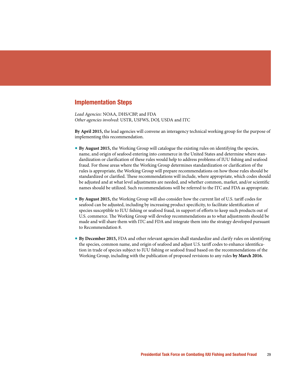*Lead Agencies:* NOAA, DHS/CBP, and FDA *Other agencies involved:* USTR, USFWS, DOJ, USDA and ITC

By April 2015, the lead agencies will convene an interagency technical working group for the purpose of implementing this recommendation.

- **By August 2015, the Working Group will catalogue the existing rules on identifying the species,** name, and origin of seafood entering into commerce in the United States and determine where standardization or clarification of these rules would help to address problems of IUU fishing and seafood fraud. For those areas where the Working Group determines standardization or clarification of the rules is appropriate, the Working Group will prepare recommendations on how those rules should be standardized or clarified. These recommendations will include, where appropriate, which codes should be adjusted and at what level adjustments are needed, and whether common, market, and/or scientific names should be utilized. Such recommendations will be referred to the ITC and FDA as appropriate.
- **By August 2015, the Working Group will also consider how the current list of U.S. tariff codes for** seafood can be adjusted, including by increasing product specificity, to facilitate identification of species susceptible to IUU fishing or seafood fraud, in support of efforts to keep such products out of U.S. commerce. The Working Group will develop recommendations as to what adjustments should be made and will share them with ITC and FDA and integrate them into the strategy developed pursuant to Recommendation 8.
- **By December 2015, FDA and other relevant agencies shall standardize and clarify rules on identifying** the species, common name, and origin of seafood and adjust U.S. tariff codes to enhance identification in trade of species subject to IUU fishing or seafood fraud based on the recommendations of the Working Group, including with the publication of proposed revisions to any rules by March 2016.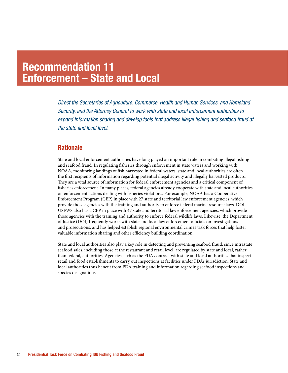### Recommendation 11 Enforcement – State and Local

*Direct the Secretaries of Agriculture, Commerce, Health and Human Services, and Homeland Security, and the Attorney General to work with state and local enforcement authorities to expand information sharing and develop tools that address illegal fishing and seafood fraud at the state and local level.*

#### **Rationale**

State and local enforcement authorities have long played an important role in combating illegal fishing and seafood fraud. In regulating fisheries through enforcement in state waters and working with NOAA, monitoring landings of fish harvested in federal waters, state and local authorities are often the first recipients of information regarding potential illegal activity and illegally harvested products. They are a vital source of information for federal enforcement agencies and a critical component of fisheries enforcement. In many places, federal agencies already cooperate with state and local authorities on enforcement actions dealing with fisheries violations. For example, NOAA has a Cooperative Enforcement Program (CEP) in place with 27 state and territorial law enforcement agencies, which provide those agencies with the training and authority to enforce federal marine resource laws. DOI-USFWS also has a CEP in place with 47 state and territorial law enforcement agencies, which provide those agencies with the training and authority to enforce federal wildlife laws. Likewise, the Department of Justice (DOJ) frequently works with state and local law enforcement officials on investigations and prosecutions, and has helped establish regional environmental crimes task forces that help foster valuable information sharing and other efficiency building coordination.

State and local authorities also play a key role in detecting and preventing seafood fraud, since intrastate seafood sales, including those at the restaurant and retail level, are regulated by state and local, rather than federal, authorities. Agencies such as the FDA contract with state and local authorities that inspect retail and food establishments to carry out inspections at facilities under FDA's jurisdiction. State and local authorities thus benefit from FDA training and information regarding seafood inspections and species designations.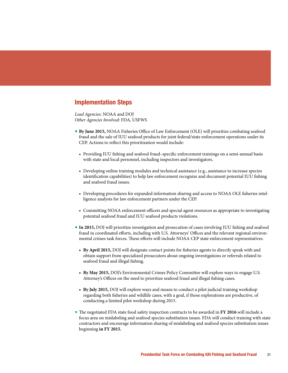*Lead Agencies:* NOAA and DOJ *Other Agencies Involved:* FDA, USFWS

- **By June 2015, NOAA Fisheries Office of Law Enforcement (OLE) will prioritize combating seafood** fraud and the sale of IUU seafood products for joint federal/state enforcement operations under its CEP. Actions to reflect this prioritization would include:
	- Providing IUU fishing and seafood fraud–specific enforcement trainings on a semi-annual basis with state and local personnel, including inspectors and investigators.
	- r Developing online training modules and technical assistance (e.g., assistance to increase species identification capabilities) to help law enforcement recognize and document potential IUU fishing and seafood fraud issues.
	- Developing procedures for expanded information sharing and access to NOAA OLE fisheries intelligence analysts for law enforcement partners under the CEP.
	- Committing NOAA enforcement officers and special agent resources as appropriate to investigating potential seafood fraud and IUU seafood products violations.
- **In 2015,** DOJ will prioritize investigation and prosecution of cases involving IUU fishing and seafood fraud in coordinated efforts, including with U.S. Attorneys' Offices and the relevant regional environmental crimes task forces. These efforts will include NOAA CEP state enforcement representatives.
	- **By April 2015, DOJ will designate contact points for fisheries agents to directly speak with and** obtain support from specialized prosecutors about ongoing investigations or referrals related to seafood fraud and illegal fishing.
	- **By May 2015, DOJ's Environmental Crimes Policy Committee will explore ways to engage U.S.** Attorney's Offices on the need to prioritize seafood fraud and illegal fishing cases.
	- **By July 2015,** DOJ will explore ways and means to conduct a pilot judicial training workshop regarding both fisheries and wildlife cases, with a goal, if those explorations are productive, of conducting a limited pilot workshop during 2015.
- The negotiated FDA state food safety inspection contracts to be awarded in FY 2016 will include a focus area on mislabeling and seafood species substitution issues. FDA will conduct training with state contractors and encourage information sharing of mislabeling and seafood species substitution issues beginning in FY 2015.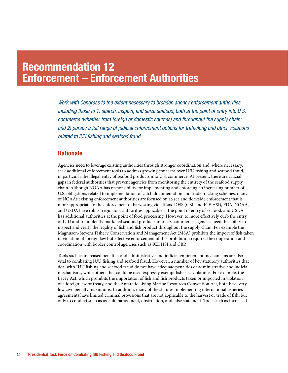### Recommendation 12 Enforcement – Enforcement Authorities

*Work with Congress to the extent necessary to broaden agency enforcement authorities, including those to 1) search, inspect, and seize seafood, both at the point of entry into U.S. commerce (whether from foreign or domestic sources) and throughout the supply chain; and 2) pursue a full range of judicial enforcement options for trafficking and other violations related to IUU fishing and seafood fraud.*

#### **Rationale**

Agencies need to leverage existing authorities through stronger coordination and, where necessary, seek additional enforcement tools to address growing concerns over IUU fishing and seafood fraud, in particular the illegal entry of seafood products into U.S. commerce. At present, there are crucial gaps in federal authorities that prevent agencies from monitoring the entirety of the seafood supply chain. Although NOAA has responsibility for implementing and enforcing an increasing number of U.S. obligations related to implementation of catch documentation and trade tracking schemes, many of NOAA's existing enforcement authorities are focused on at-sea and dockside enforcement that is more appropriate to the enforcement of harvesting violations. DHS (CBP and ICE HSI), FDA, NOAA, and USDA have robust regulatory authorities applicable at the point of entry of seafood, and USDA has additional authorities at the point of food processing. However, to more effectively curb the entry of IUU and fraudulently marketed seafood products into U.S. commerce, agencies need the ability to inspect and verify the legality of fish and fish product throughout the supply chain. For example the Magnuson-Stevens Fishery Conservation and Management Act (MSA) prohibits the import of fish taken in violation of foreign law but effective enforcement of this prohibition requires the cooperation and coordination with border control agencies such as ICE HSI and CBP.

Tools such as increased penalties and administrative and judicial enforcement mechanisms are also vital to combating IUU fishing and seafood fraud. However, a number of key statutory authorities that deal with IUU fishing and seafood fraud do not have adequate penalties or administrative and judicial mechanisms, while others that could be used expressly exempt fisheries violations. For example, the Lacey Act, which prohibits the importation of fish and fish products taken or imported in violation of a foreign law or treaty, and the Antarctic Living Marine Resources Convention Act, both have very low civil penalty maximums. In addition, many of the statutes implementing international fisheries agreements have limited criminal provisions that are not applicable to the harvest or trade of fish, but only to conduct such as assault, harassment, obstruction, and false statement. Tools such as increased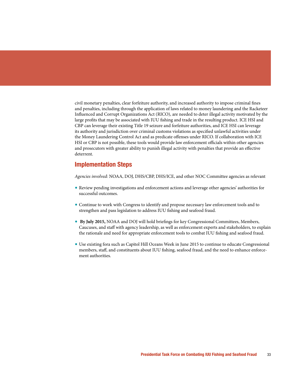civil monetary penalties, clear forfeiture authority, and increased authority to impose criminal fines and penalties, including through the application of laws related to money laundering and the Racketeer Influenced and Corrupt Organizations Act (RICO), are needed to deter illegal activity motivated by the large profits that may be associated with IUU fishing and trade in the resulting product. ICE HSI and CBP can leverage their existing Title 19 seizure and forfeiture authorities, and ICE HSI can leverage its authority and jurisdiction over criminal customs violations as specified unlawful activities under the Money Laundering Control Act and as predicate offenses under RICO. If collaboration with ICE HSI or CBP is not possible, these tools would provide law enforcement officials within other agencies and prosecutors with greater ability to punish illegal activity with penalties that provide an effective deterrent.

#### Implementation Steps

*Agencies involved:* NOAA, DOJ, DHS/CBP, DHS/ICE, and other NOC Committee agencies as relevant

- Review pending investigations and enforcement actions and leverage other agencies' authorities for successful outcomes.
- Continue to work with Congress to identify and propose necessary law enforcement tools and to strengthen and pass legislation to address IUU fishing and seafood fraud.
- **By July 2015, NOAA and DOJ will hold briefings for key Congressional Committees, Members,** Caucuses, and staff with agency leadership, as well as enforcement experts and stakeholders, to explain the rationale and need for appropriate enforcement tools to combat IUU fishing and seafood fraud.
- Use existing fora such as Capitol Hill Oceans Week in June 2015 to continue to educate Congressional members, staff, and constituents about IUU fishing, seafood fraud, and the need to enhance enforcement authorities.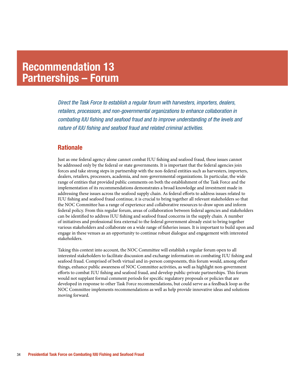### Recommendation 13 Partnerships – Forum

*Direct the Task Force to establish a regular forum with harvesters, importers, dealers, retailers, processors, and non-governmental organizations to enhance collaboration in combating IUU fishing and seafood fraud and to improve understanding of the levels and nature of IUU fishing and seafood fraud and related criminal activities.*

#### **Rationale**

Just as one federal agency alone cannot combat IUU fishing and seafood fraud, these issues cannot be addressed only by the federal or state governments. It is important that the federal agencies join forces and take strong steps in partnership with the non-federal entities such as harvesters, importers, dealers, retailers, processors, academia, and non-governmental organizations. In particular, the wide range of entities that provided public comments on both the establishment of the Task Force and the implementation of its recommendations demonstrates a broad knowledge and investment made in addressing these issues across the seafood supply chain. As federal efforts to address issues related to IUU fishing and seafood fraud continue, it is crucial to bring together all relevant stakeholders so that the NOC Committee has a range of experience and collaborative resources to draw upon and inform federal policy. From this regular forum, areas of collaboration between federal agencies and stakeholders can be identified to address IUU fishing and seafood fraud concerns in the supply chain. A number of initiatives and professional fora external to the federal government already exist to bring together various stakeholders and collaborate on a wide range of fisheries issues. It is important to build upon and engage in these venues as an opportunity to continue robust dialogue and engagement with interested stakeholders.

Taking this context into account, the NOC Committee will establish a regular forum open to all interested stakeholders to facilitate discussion and exchange information on combating IUU fishing and seafood fraud. Comprised of both virtual and in-person components, this forum would, among other things, enhance public awareness of NOC Committee activities, as well as highlight non-government efforts to combat IUU fishing and seafood fraud, and develop public-private partnerships. This forum would not supplant formal comment periods for specific regulatory proposals or policies that are developed in response to other Task Force recommendations, but could serve as a feedback loop as the NOC Committee implements recommendations as well as help provide innovative ideas and solutions moving forward.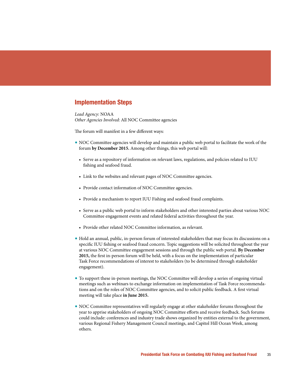*Lead Agency:* NOAA *Other Agencies Involved:* All NOC Committee agencies

The forum will manifest in a few different ways:

- NOC Committee agencies will develop and maintain a public web portal to facilitate the work of the forum by December 2015. Among other things, this web portal will:
	- r Serve as a repository of information on relevant laws, regulations, and policies related to IUU fishing and seafood fraud.
	- Link to the websites and relevant pages of NOC Committee agencies.
	- Provide contact information of NOC Committee agencies.
	- r Provide a mechanism to report IUU Fishing and seafood fraud complaints.
	- r Serve as a public web portal to inform stakeholders and other interested parties about various NOC Committee engagement events and related federal activities throughout the year.
	- Provide other related NOC Committee information, as relevant.
- Hold an annual, public, in-person forum of interested stakeholders that may focus its discussions on a specific IUU fishing or seafood fraud concern. Topic suggestions will be solicited throughout the year at various NOC Committee engagement sessions and through the public web portal. **By December 2015, the first in-person forum will be held, with a focus on the implementation of particular** Task Force recommendations of interest to stakeholders (to be determined through stakeholder engagement).
- To support these in-person meetings, the NOC Committee will develop a series of ongoing virtual meetings such as webinars to exchange information on implementation of Task Force recommendations and on the roles of NOC Committee agencies, and to solicit public feedback. A first virtual meeting will take place in June 2015.
- NOC Committee representatives will regularly engage at other stakeholder forums throughout the year to apprise stakeholders of ongoing NOC Committee efforts and receive feedback. Such forums could include: conferences and industry trade shows organized by entities external to the government, various Regional Fishery Management Council meetings, and Capitol Hill Ocean Week, among others.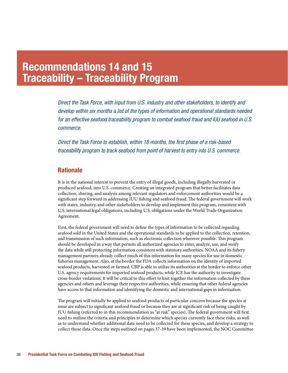### Recommendations 14 and 15 Traceability – Traceability Program

*Direct the Task Force, with input from U.S. industry and other stakeholders, to identify and develop within six months a list of the types of information and operational standards needed for an effective seafood traceability program to combat seafood fraud and IUU seafood in U.S. commerce.*

*Direct the Task Force to establish, within 18 months, the first phase of a risk-based traceability program to track seafood from point of harvest to entry into U.S. commerce.*

#### **Rationale**

It is in the national interest to prevent the entry of illegal goods, including illegally harvested or produced seafood, into U.S. commerce. Creating an integrated program that better facilitates data collection, sharing, and analysis among relevant regulators and enforcement authorities would be a significant step forward in addressing IUU fishing and seafood fraud. The federal government will work with states, industry, and other stakeholders to develop and implement this program, consistent with U.S. international legal obligations, including U.S, obligations under the World Trade Organization Agreement.

First, the federal government will need to define the types of information to be collected regarding seafood sold in the United States and the operational standards to be applied to the collection, retention, and transmission of such information, such as electronic collection wherever possible. This program should be developed in a way that permits all authorized agencies to enter, analyze, use, and verify the data while still protecting information consistent with statutory authorities. NOAA and its fishery management partners already collect much of this information for many species for use in domestic fisheries management. Also, at the border the FDA collects information on the identity of imported seafood products, harvested or farmed. CBP is able to utilize its authorities at the border to enforce other U.S. agency requirements for imported seafood products, while ICE has the authority to investigate cross-border violations. It will be critical to this effort to knit together the information collected by these agencies and others and leverage their respective authorities, while ensuring that other federal agencies have access to that information and identifying the domestic and international gaps in information.

The program will initially be applied to seafood products of particular concern because the species at issue are subject to significant seafood fraud or because they are at significant risk of being caught by IUU fishing (referred to in this recommendation as "at risk" species). The federal government will first need to outline the criteria and principles to determine which species currently face these risks, as well as to understand whether additional data need to be collected for these species, and develop a strategy to collect those data. Once the steps outlined on pages 37-39 have been implemented, the NOC Committee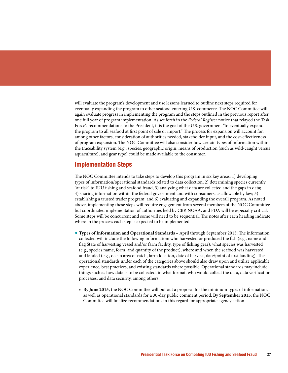will evaluate the program's development and use lessons learned to outline next steps required for eventually expanding the program to other seafood entering U.S. commerce. The NOC Committee will again evaluate progress in implementing the program and the steps outlined in the previous report after one full year of program implementation. As set forth in the *Federal Register* notice that relayed the Task Force's recommendations to the President, it is the goal of the U.S. government "to eventually expand the program to all seafood at first point of sale or import." The process for expansion will account for, among other factors, consideration of authorities needed, stakeholder input, and the cost-effectiveness of program expansion. The NOC Committee will also consider how certain types of information within the traceability system (e.g., species, geographic origin, means of production (such as wild-caught versus aquaculture), and gear type) could be made available to the consumer.

#### Implementation Steps

The NOC Committee intends to take steps to develop this program in six key areas: 1) developing types of information/operational standards related to data collection; 2) determining species currently "at risk" to IUU fishing and seafood fraud, 3) analyzing what data are collected and the gaps in data; 4) sharing information within the federal government and with consumers, as allowable by law; 5) establishing a trusted trader program; and 6) evaluating and expanding the overall program. As noted above, implementing these steps will require engagement from several members of the NOC Committee but coordinated implementation of authorities held by CBP, NOAA, and FDA will be especially critical. Some steps will be concurrent and some will need to be sequential. The notes after each heading indicate where in the process each step is expected to be implemented.

- **Types of Information and Operational Standards April through September 2015: The information** collected will include the following information: who harvested or produced the fish (e.g., name and flag State of harvesting vessel and/or farm facility, type of fishing gear); what species was harvested (e.g., species name, form, and quantity of the product); where and when the seafood was harvested and landed (e.g., ocean area of catch, farm location, date of harvest, date/point of first landing). The operational standards under each of the categories above should also draw upon and utilize applicable experience, best practices, and existing standards where possible. Operational standards may include things such as how data is to be collected, in what format, who would collect the data, data verification processes, and data security, among others.
	- **By June 2015, the NOC Committee will put out a proposal for the minimum types of information,** as well as operational standards for a 30-day public comment period. By September 2015, the NOC Committee will finalize recommendations in this regard for appropriate agency action.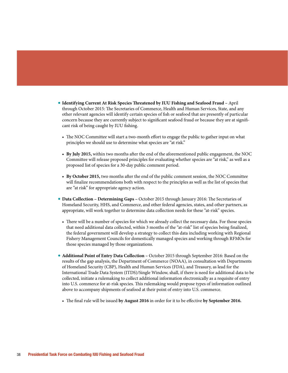- **\* Identifying Current At Risk Species Threatened by IUU Fishing and Seafood Fraud April** through October 2015: The Secretaries of Commerce, Health and Human Services, State, and any other relevant agencies will identify certain species of fish or seafood that are presently of particular concern because they are currently subject to significant seafood fraud or because they are at significant risk of being caught by IUU fishing.
	- The NOC Committee will start a two-month effort to engage the public to gather input on what principles we should use to determine what species are "at risk."
	- **By July 2015, within two months after the end of the aforementioned public engagement, the NOC** Committee will release proposed principles for evaluating whether species are "at risk," as well as a proposed list of species for a 30-day public comment period.
	- **By October 2015,** two months after the end of the public comment session, the NOC Committee will finalize recommendations both with respect to the principles as well as the list of species that are "at risk" for appropriate agency action.
- **Data Collection Determining Gaps October 2015 through January 2016: The Secretaries of** Homeland Security, HHS, and Commerce, and other federal agencies, states, and other partners, as appropriate, will work together to determine data collection needs for these "at-risk" species.
	- There will be a number of species for which we already collect the necessary data. For those species that need additional data collected, within 3 months of the "at-risk" list of species being finalized, the federal government will develop a strategy to collect this data including working with Regional Fishery Management Councils for domestically managed species and working through RFMOs for those species managed by those organizations.
- **Additional Point of Entry Data Collection October 2015 through September 2016: Based on the** results of the gap analysis, the Department of Commerce (NOAA), in consultation with Departments of Homeland Security (CBP), Health and Human Services (FDA), and Treasury, as lead for the International Trade Data System (ITDS)/Single Window, shall, if there is need for additional data to be collected, initiate a rulemaking to collect additional information electronically as a requisite of entry into U.S. commerce for at-risk species. This rulemaking would propose types of information outlined above to accompany shipments of seafood at their point of entry into U.S. commerce.
	- $\bullet$  The final rule will be issued by August 2016 in order for it to be effective by September 2016.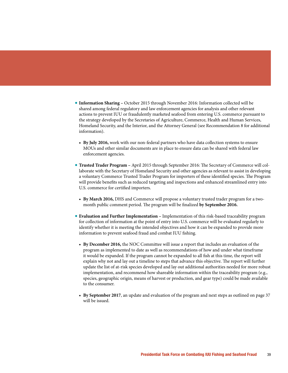- **Information Sharing October 2015 through November 2016: Information collected will be** shared among federal regulatory and law enforcement agencies for analysis and other relevant actions to prevent IUU or fraudulently marketed seafood from entering U.S. commerce pursuant to the strategy developed by the Secretaries of Agriculture, Commerce, Health and Human Services, Homeland Security, and the Interior, and the Attorney General (see Recommendation 8 for additional information).
	- **By July 2016,** work with our non-federal partners who have data collection systems to ensure MOUs and other similar documents are in place to ensure data can be shared with federal law enforcement agencies.
- **Trusted Trader Program April 2015 through September 2016: The Secretary of Commerce will col**laborate with the Secretary of Homeland Security and other agencies as relevant to assist in developing a voluntary Commerce Trusted Trader Program for importers of these identified species. The Program will provide benefits such as reduced targeting and inspections and enhanced streamlined entry into U.S. commerce for certified importers.
	- **By March 2016,** DHS and Commerce will propose a voluntary trusted trader program for a twomonth public comment period. The program will be finalized by September 2016.
- **Evaluation and Further Implementation Implementation of this risk-based traceability program** for collection of information at the point of entry into U.S. commerce will be evaluated regularly to identify whether it is meeting the intended objectives and how it can be expanded to provide more information to prevent seafood fraud and combat IUU fishing.
	- **By December 2016,** the NOC Committee will issue a report that includes an evaluation of the program as implemented to date as well as recommendations of how and under what timeframe it would be expanded. If the program cannot be expanded to all fish at this time, the report will explain why not and lay out a timeline to steps that advance this objective. The report will further update the list of at-risk species developed and lay out additional authorities needed for more robust implementation, and recommend how shareable information within the traceability program (e.g., species, geographic origin, means of harvest or production, and gear type) could be made available to the consumer.
	- By September 2017, an update and evaluation of the program and next steps as outlined on page 37 will be issued.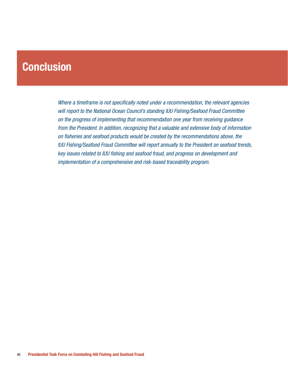### **Conclusion**

*Where a timeframe is not specifically noted under a recommendation, the relevant agencies will report to the National Ocean Council's standing IUU Fishing/Seafood Fraud Committee on the progress of implementing that recommendation one year from receiving guidance from the President. In addition, recognizing that a valuable and extensive body of information on fisheries and seafood products would be created by the recommendations above, the IUU Fishing/Seafood Fraud Committee will report annually to the President on seafood trends, key issues related to IUU fishing and seafood fraud, and progress on development and implementation of a comprehensive and risk-based traceability program.*